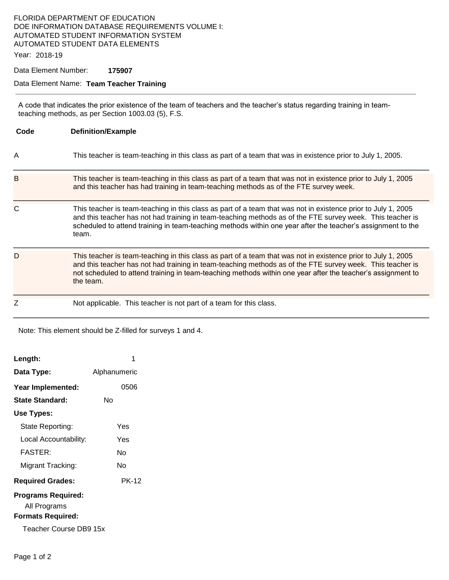### FLORIDA DEPARTMENT OF EDUCATION DOE INFORMATION DATABASE REQUIREMENTS VOLUME I: AUTOMATED STUDENT INFORMATION SYSTEM AUTOMATED STUDENT DATA ELEMENTS

Year: 2018-19

Data Element Number: **175907** 

#### Data Element Name: **Team Teacher Training**

A code that indicates the prior existence of the team of teachers and the teacher's status regarding training in teamteaching methods, as per Section 1003.03 (5), F.S.

| Code | <b>Definition/Example</b>                                                                                                                                                                                                                                                                                                                              |
|------|--------------------------------------------------------------------------------------------------------------------------------------------------------------------------------------------------------------------------------------------------------------------------------------------------------------------------------------------------------|
| Α    | This teacher is team-teaching in this class as part of a team that was in existence prior to July 1, 2005.                                                                                                                                                                                                                                             |
| B    | This teacher is team-teaching in this class as part of a team that was not in existence prior to July 1, 2005<br>and this teacher has had training in team-teaching methods as of the FTE survey week.                                                                                                                                                 |
| C    | This teacher is team-teaching in this class as part of a team that was not in existence prior to July 1, 2005<br>and this teacher has not had training in team-teaching methods as of the FTE survey week. This teacher is<br>scheduled to attend training in team-teaching methods within one year after the teacher's assignment to the<br>team.     |
| D    | This teacher is team-teaching in this class as part of a team that was not in existence prior to July 1, 2005<br>and this teacher has not had training in team-teaching methods as of the FTE survey week. This teacher is<br>not scheduled to attend training in team-teaching methods within one year after the teacher's assignment to<br>the team. |
| Z    | Not applicable. This teacher is not part of a team for this class.                                                                                                                                                                                                                                                                                     |

Note: This element should be Z-filled for surveys 1 and 4.

| Length:                                                                                         | 1            |  |  |
|-------------------------------------------------------------------------------------------------|--------------|--|--|
| Data Type:                                                                                      | Alphanumeric |  |  |
| Year Implemented:                                                                               | 0506         |  |  |
| State Standard:                                                                                 | N٥           |  |  |
| Use Types:                                                                                      |              |  |  |
| State Reporting:                                                                                | Yes          |  |  |
| Local Accountability:                                                                           | Yes          |  |  |
| <b>FASTER:</b>                                                                                  | N٥           |  |  |
| Migrant Tracking:                                                                               | N٥           |  |  |
| <b>Required Grades:</b>                                                                         | PK-12        |  |  |
| <b>Programs Required:</b><br>All Programs<br><b>Formats Required:</b><br>Teacher Course DB9 15x |              |  |  |
|                                                                                                 |              |  |  |